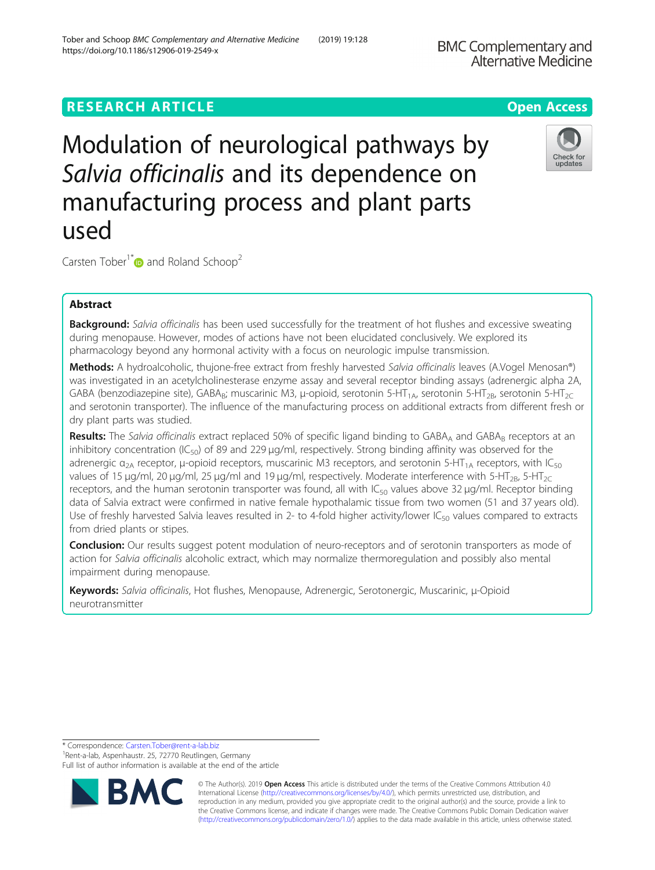# **RESEARCH ARTICLE Example 2018 12:30 THE Open Access**

Modulation of neurological pathways by Salvia officinalis and its dependence on manufacturing process and plant parts used

Carsten Tober<sup>1\*</sup> and Roland Schoop<sup>2</sup>

## Abstract

Background: Salvia officinalis has been used successfully for the treatment of hot flushes and excessive sweating during menopause. However, modes of actions have not been elucidated conclusively. We explored its pharmacology beyond any hormonal activity with a focus on neurologic impulse transmission.

Methods: A hydroalcoholic, thujone-free extract from freshly harvested Salvia officinalis leaves (A.Vogel Menosan®) was investigated in an acetylcholinesterase enzyme assay and several receptor binding assays (adrenergic alpha 2A, GABA (benzodiazepine site), GABA<sub>B</sub>; muscarinic M3, μ-opioid, serotonin 5-HT<sub>1A</sub>, serotonin 5-HT<sub>2B</sub>, serotonin 5-HT<sub>2C</sub> and serotonin transporter). The influence of the manufacturing process on additional extracts from different fresh or dry plant parts was studied.

Results: The Salvia officinalis extract replaced 50% of specific ligand binding to GABA<sub>A</sub> and GABA<sub>B</sub> receptors at an inhibitory concentration (IC<sub>50</sub>) of 89 and 229  $\mu$ g/ml, respectively. Strong binding affinity was observed for the adrenergic  $\alpha_{2A}$  receptor, μ-opioid receptors, muscarinic M3 receptors, and serotonin 5-HT<sub>1A</sub> receptors, with IC<sub>50</sub> values of 15 μg/ml, 20 μg/ml, 25 μg/ml and 19 μg/ml, respectively. Moderate interference with 5-HT<sub>2B</sub>, 5-HT<sub>2C</sub> receptors, and the human serotonin transporter was found, all with  $IC_{50}$  values above 32 µg/ml. Receptor binding data of Salvia extract were confirmed in native female hypothalamic tissue from two women (51 and 37 years old). Use of freshly harvested Salvia leaves resulted in 2- to 4-fold higher activity/lower  $IC_{50}$  values compared to extracts from dried plants or stipes.

Conclusion: Our results suggest potent modulation of neuro-receptors and of serotonin transporters as mode of action for Salvia officinalis alcoholic extract, which may normalize thermoregulation and possibly also mental impairment during menopause.

Keywords: Salvia officinalis, Hot flushes, Menopause, Adrenergic, Serotonergic, Muscarinic, μ-Opioid neurotransmitter

\* Correspondence: [Carsten.Tober@rent-a-lab.biz](mailto:Carsten.Tober@rent-a-lab.biz) <sup>1</sup>

<sup>1</sup> Rent-a-lab, Aspenhaustr. 25, 72770 Reutlingen, Germany



RA

Full list of author information is available at the end of the article





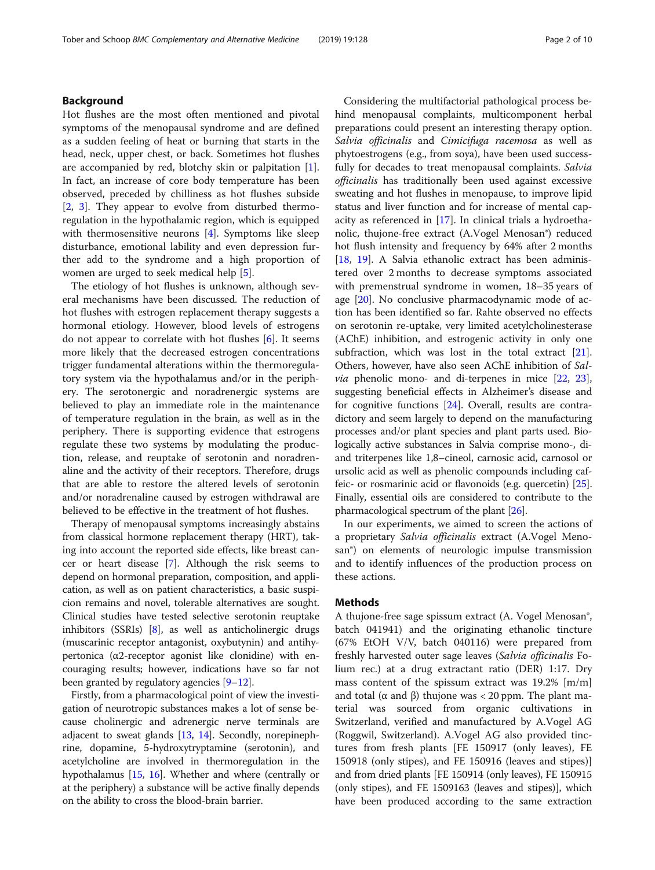### Background

Hot flushes are the most often mentioned and pivotal symptoms of the menopausal syndrome and are defined as a sudden feeling of heat or burning that starts in the head, neck, upper chest, or back. Sometimes hot flushes are accompanied by red, blotchy skin or palpitation [\[1](#page-8-0)]. In fact, an increase of core body temperature has been observed, preceded by chilliness as hot flushes subside [[2,](#page-8-0) [3\]](#page-8-0). They appear to evolve from disturbed thermoregulation in the hypothalamic region, which is equipped with thermosensitive neurons [[4\]](#page-8-0). Symptoms like sleep disturbance, emotional lability and even depression further add to the syndrome and a high proportion of women are urged to seek medical help [\[5](#page-8-0)].

The etiology of hot flushes is unknown, although several mechanisms have been discussed. The reduction of hot flushes with estrogen replacement therapy suggests a hormonal etiology. However, blood levels of estrogens do not appear to correlate with hot flushes [\[6](#page-8-0)]. It seems more likely that the decreased estrogen concentrations trigger fundamental alterations within the thermoregulatory system via the hypothalamus and/or in the periphery. The serotonergic and noradrenergic systems are believed to play an immediate role in the maintenance of temperature regulation in the brain, as well as in the periphery. There is supporting evidence that estrogens regulate these two systems by modulating the production, release, and reuptake of serotonin and noradrenaline and the activity of their receptors. Therefore, drugs that are able to restore the altered levels of serotonin and/or noradrenaline caused by estrogen withdrawal are believed to be effective in the treatment of hot flushes.

Therapy of menopausal symptoms increasingly abstains from classical hormone replacement therapy (HRT), taking into account the reported side effects, like breast cancer or heart disease [\[7](#page-8-0)]. Although the risk seems to depend on hormonal preparation, composition, and application, as well as on patient characteristics, a basic suspicion remains and novel, tolerable alternatives are sought. Clinical studies have tested selective serotonin reuptake inhibitors (SSRIs) [\[8](#page-8-0)], as well as anticholinergic drugs (muscarinic receptor antagonist, oxybutynin) and antihypertonica (α2-receptor agonist like clonidine) with encouraging results; however, indications have so far not been granted by regulatory agencies  $[9-12]$  $[9-12]$  $[9-12]$  $[9-12]$ .

Firstly, from a pharmacological point of view the investigation of neurotropic substances makes a lot of sense because cholinergic and adrenergic nerve terminals are adjacent to sweat glands [[13](#page-8-0), [14](#page-8-0)]. Secondly, norepinephrine, dopamine, 5-hydroxytryptamine (serotonin), and acetylcholine are involved in thermoregulation in the hypothalamus [[15](#page-8-0), [16](#page-8-0)]. Whether and where (centrally or at the periphery) a substance will be active finally depends on the ability to cross the blood-brain barrier.

Considering the multifactorial pathological process behind menopausal complaints, multicomponent herbal preparations could present an interesting therapy option. Salvia officinalis and Cimicifuga racemosa as well as phytoestrogens (e.g., from soya), have been used successfully for decades to treat menopausal complaints. Salvia officinalis has traditionally been used against excessive sweating and hot flushes in menopause, to improve lipid status and liver function and for increase of mental capacity as referenced in [[17](#page-8-0)]. In clinical trials a hydroethanolic, thujone-free extract (A.Vogel Menosan®) reduced hot flush intensity and frequency by 64% after 2 months [[18,](#page-9-0) [19\]](#page-9-0). A Salvia ethanolic extract has been administered over 2 months to decrease symptoms associated with premenstrual syndrome in women, 18–35 years of age [\[20](#page-9-0)]. No conclusive pharmacodynamic mode of action has been identified so far. Rahte observed no effects on serotonin re-uptake, very limited acetylcholinesterase (AChE) inhibition, and estrogenic activity in only one subfraction, which was lost in the total extract [\[21](#page-9-0)]. Others, however, have also seen AChE inhibition of Sal*via* phenolic mono- and di-terpenes in mice  $[22, 23]$  $[22, 23]$  $[22, 23]$  $[22, 23]$ , suggesting beneficial effects in Alzheimer's disease and for cognitive functions [\[24](#page-9-0)]. Overall, results are contradictory and seem largely to depend on the manufacturing processes and/or plant species and plant parts used. Biologically active substances in Salvia comprise mono-, diand triterpenes like 1,8–cineol, carnosic acid, carnosol or ursolic acid as well as phenolic compounds including caffeic- or rosmarinic acid or flavonoids (e.g. quercetin) [[25](#page-9-0)]. Finally, essential oils are considered to contribute to the pharmacological spectrum of the plant [[26\]](#page-9-0).

In our experiments, we aimed to screen the actions of a proprietary Salvia officinalis extract (A.Vogel Menosan<sup>®</sup>) on elements of neurologic impulse transmission and to identify influences of the production process on these actions.

### Methods

A thujone-free sage spissum extract (A. Vogel Menosan®, batch 041941) and the originating ethanolic tincture (67% EtOH V/V, batch 040116) were prepared from freshly harvested outer sage leaves (Salvia officinalis Folium rec.) at a drug extractant ratio (DER) 1:17. Dry mass content of the spissum extract was 19.2% [m/m] and total (α and β) thujone was  $<$  20 ppm. The plant material was sourced from organic cultivations in Switzerland, verified and manufactured by A.Vogel AG (Roggwil, Switzerland). A.Vogel AG also provided tinctures from fresh plants [FE 150917 (only leaves), FE 150918 (only stipes), and FE 150916 (leaves and stipes)] and from dried plants [FE 150914 (only leaves), FE 150915 (only stipes), and FE 1509163 (leaves and stipes)], which have been produced according to the same extraction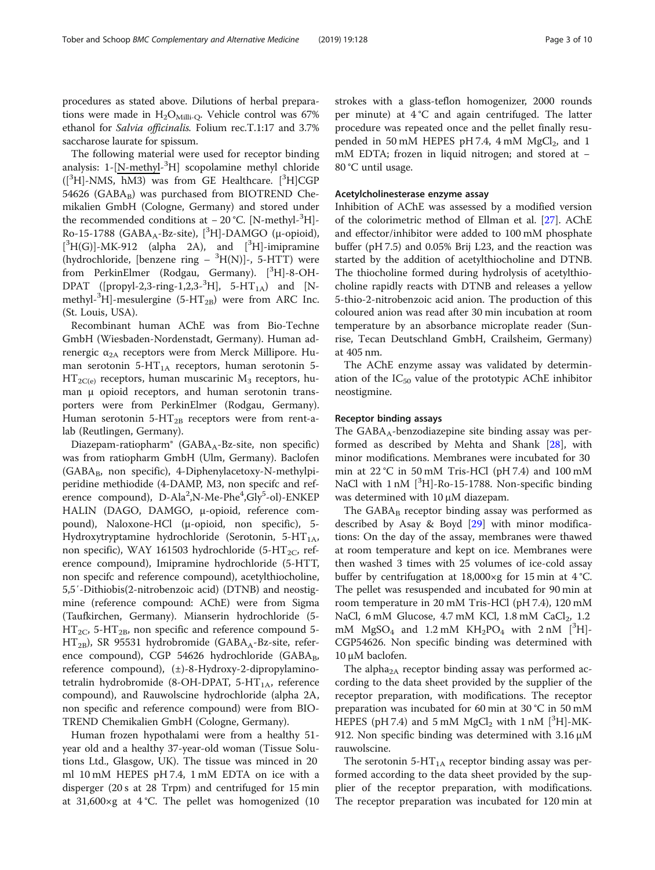The following material were used for receptor binding analysis: 1-[N-methyl-<sup>3</sup>H] scopolamine methyl chloride ([<sup>3</sup>H]-NMS, hM3) was from GE Healthcare. [<sup>3</sup>H]CGP 54626 (GABA<sub>B</sub>) was purchased from BIOTREND Chemikalien GmbH (Cologne, Germany) and stored under the recommended conditions at -20 °C. [N-methyl-<sup>3</sup>H]-Ro-15-1788 (GABA<sub>A</sub>-Bz-site), [<sup>3</sup>H]-DAMGO (μ-opioid),  $[^3H(G)]$ -MK-912 (alpha 2A), and  $[^3H]$ -imipramine (hydrochloride, [benzene ring  $^{3}H(N)$ ]-, 5-HTT) were from PerkinElmer (Rodgau, Germany). [<sup>3</sup>H]-8-OH-DPAT ([propyl-2,3-ring-1,2,3-<sup>3</sup>H], 5-HT<sub>1A</sub>) and [Nmethyl- ${}^{3}$ H]-mesulergine (5-HT<sub>2B</sub>) were from ARC Inc. (St. Louis, USA).

Recombinant human AChE was from Bio-Techne GmbH (Wiesbaden-Nordenstadt, Germany). Human adrenergic  $α<sub>2A</sub>$  receptors were from Merck Millipore. Human serotonin 5- $HT_{1A}$  receptors, human serotonin 5- $HT_{2C(e)}$  receptors, human muscarinic  $M_3$  receptors, human μ opioid receptors, and human serotonin transporters were from PerkinElmer (Rodgau, Germany). Human serotonin  $5-HT_{2B}$  receptors were from rent-alab (Reutlingen, Germany).

Diazepam-ratiopharm® (GABA<sub>A</sub>-Bz-site, non specific) was from ratiopharm GmbH (Ulm, Germany). Baclofen  $(GABA_B,$  non specific), 4-Diphenylacetoxy-N-methylpiperidine methiodide (4-DAMP, M3, non specifc and reference compound), D-Ala<sup>2</sup>,N-Me-Phe<sup>4</sup>,Gly<sup>5</sup>-ol)-ENKEP HALIN (DAGO, DAMGO, μ-opioid, reference compound), Naloxone-HCl (μ-opioid, non specific), 5- Hydroxytryptamine hydrochloride (Serotonin, 5-HT<sub>1A</sub>, non specific), WAY 161503 hydrochloride (5-HT<sub>2C</sub>, reference compound), Imipramine hydrochloride (5-HTT, non specifc and reference compound), acetylthiocholine, 5,5′-Dithiobis(2-nitrobenzoic acid) (DTNB) and neostigmine (reference compound: AChE) were from Sigma (Taufkirchen, Germany). Mianserin hydrochloride (5-  $HT_{2C}$ , 5-HT<sub>2B</sub>, non specific and reference compound 5- $HT_{2B}$ ), SR 95531 hydrobromide (GABA<sub>A</sub>-Bz-site, reference compound), CGP 54626 hydrochloride (GABAB, reference compound), (±)-8-Hydroxy-2-dipropylaminotetralin hydrobromide (8-OH-DPAT, 5-HT<sub>1A</sub>, reference compound), and Rauwolscine hydrochloride (alpha 2A, non specific and reference compound) were from BIO-TREND Chemikalien GmbH (Cologne, Germany).

Human frozen hypothalami were from a healthy 51 year old and a healthy 37-year-old woman (Tissue Solutions Ltd., Glasgow, UK). The tissue was minced in 20 ml 10 mM HEPES pH 7.4, 1 mM EDTA on ice with a disperger (20 s at 28 Trpm) and centrifuged for 15 min at 31,600×g at 4 °C. The pellet was homogenized (10

strokes with a glass-teflon homogenizer, 2000 rounds per minute) at  $4^{\circ}$ C and again centrifuged. The latter procedure was repeated once and the pellet finally resupended in 50 mM HEPES pH 7.4,  $4 \text{ mM } MgCl<sub>2</sub>$ , and 1 mM EDTA; frozen in liquid nitrogen; and stored at − 80 °C until usage.

### Acetylcholinesterase enzyme assay

Inhibition of AChE was assessed by a modified version of the colorimetric method of Ellman et al. [\[27\]](#page-9-0). AChE and effector/inhibitor were added to 100 mM phosphate buffer (pH 7.5) and 0.05% Brij L23, and the reaction was started by the addition of acetylthiocholine and DTNB. The thiocholine formed during hydrolysis of acetylthiocholine rapidly reacts with DTNB and releases a yellow 5-thio-2-nitrobenzoic acid anion. The production of this coloured anion was read after 30 min incubation at room temperature by an absorbance microplate reader (Sunrise, Tecan Deutschland GmbH, Crailsheim, Germany) at 405 nm.

The AChE enzyme assay was validated by determination of the  $IC_{50}$  value of the prototypic AChE inhibitor neostigmine.

### Receptor binding assays

The  $GABA_A$ -benzodiazepine site binding assay was performed as described by Mehta and Shank [[28\]](#page-9-0), with minor modifications. Membranes were incubated for 30 min at 22 °C in 50 mM Tris-HCl (pH 7.4) and 100 mM NaCl with 1 nM [<sup>3</sup>H]-Ro-15-1788. Non-specific binding was determined with 10 μM diazepam.

The  $GABA_B$  receptor binding assay was performed as described by Asay & Boyd [[29\]](#page-9-0) with minor modifications: On the day of the assay, membranes were thawed at room temperature and kept on ice. Membranes were then washed 3 times with 25 volumes of ice-cold assay buffer by centrifugation at  $18,000 \times g$  for 15 min at 4 °C. The pellet was resuspended and incubated for 90 min at room temperature in 20 mM Tris-HCl (pH 7.4), 120 mM NaCl, 6 mM Glucose, 4.7 mM KCl, 1.8 mM CaCl $_2$ , 1.2 mM  $MgSO_4$  and 1.2 mM  $KH_2PO_4$  with 2 nM [<sup>3</sup>H]-CGP54626. Non specific binding was determined with 10 μM baclofen.

The alpha<sub>2A</sub> receptor binding assay was performed according to the data sheet provided by the supplier of the receptor preparation, with modifications. The receptor preparation was incubated for 60 min at 30 °C in 50 mM HEPES (pH 7.4) and 5 mM  $MgCl<sub>2</sub>$  with 1 nM [<sup>3</sup>H]-MK-912. Non specific binding was determined with 3.16 μM rauwolscine.

The serotonin 5- $HT_{1A}$  receptor binding assay was performed according to the data sheet provided by the supplier of the receptor preparation, with modifications. The receptor preparation was incubated for 120 min at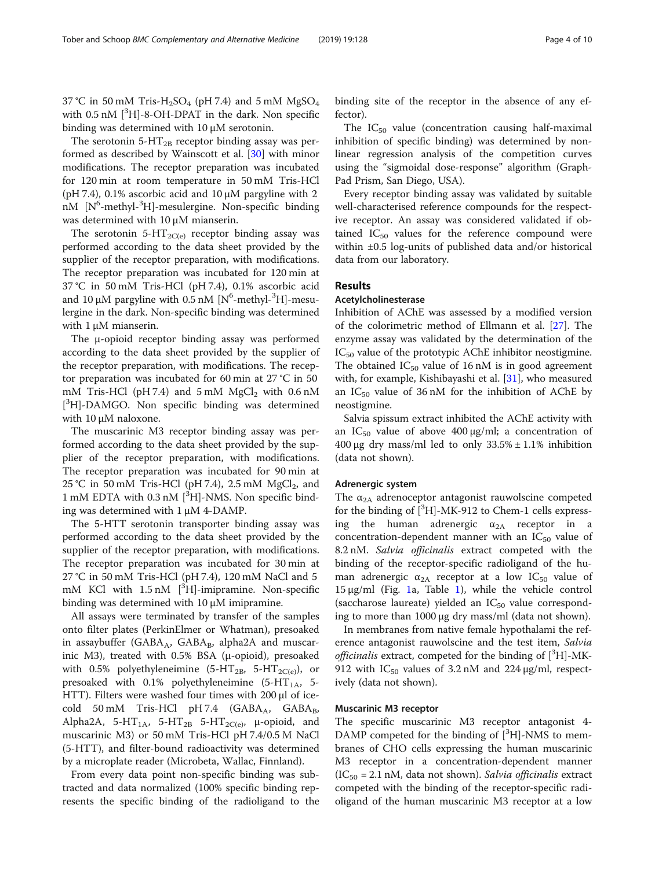37 °C in 50 mM Tris-H<sub>2</sub>SO<sub>4</sub> (pH 7.4) and 5 mM MgSO<sub>4</sub> with 0.5 nM [<sup>3</sup>H]-8-OH-DPAT in the dark. Non specific binding was determined with 10 μM serotonin.

The serotonin 5-HT<sub>2B</sub> receptor binding assay was performed as described by Wainscott et al. [[30\]](#page-9-0) with minor modifications. The receptor preparation was incubated for 120 min at room temperature in 50 mM Tris-HCl (pH 7.4),  $0.1\%$  ascorbic acid and  $10 \mu M$  pargyline with 2 nM [N<sup>6</sup>-methyl-<sup>3</sup>H]-mesulergine. Non-specific binding was determined with 10 μM mianserin.

The serotonin 5-HT<sub>2C(e)</sub> receptor binding assay was performed according to the data sheet provided by the supplier of the receptor preparation, with modifications. The receptor preparation was incubated for 120 min at 37 °C in 50 mM Tris-HCl (pH 7.4), 0.1% ascorbic acid and 10  $\mu$ M pargyline with 0.5 nM [N<sup>6</sup>-methyl-<sup>3</sup>H]-mesulergine in the dark. Non-specific binding was determined with 1 μM mianserin.

The μ-opioid receptor binding assay was performed according to the data sheet provided by the supplier of the receptor preparation, with modifications. The receptor preparation was incubated for 60 min at 27 °C in 50 mM Tris-HCl (pH 7.4) and  $5 \text{ mM } MgCl_2$  with 0.6 nM [<sup>3</sup>H]-DAMGO. Non specific binding was determined with 10 μM naloxone.

The muscarinic M3 receptor binding assay was performed according to the data sheet provided by the supplier of the receptor preparation, with modifications. The receptor preparation was incubated for 90 min at 25 °C in 50 mM Tris-HCl (pH 7.4), 2.5 mM  $MgCl<sub>2</sub>$ , and 1 mM EDTA with 0.3 nM [<sup>3</sup>H]-NMS. Non specific binding was determined with 1 μM 4-DAMP.

The 5-HTT serotonin transporter binding assay was performed according to the data sheet provided by the supplier of the receptor preparation, with modifications. The receptor preparation was incubated for 30 min at 27 °C in 50 mM Tris-HCl (pH 7.4), 120 mM NaCl and 5 mM KCl with 1.5 nM [<sup>3</sup>H]-imipramine. Non-specific binding was determined with 10 μM imipramine.

All assays were terminated by transfer of the samples onto filter plates (PerkinElmer or Whatman), presoaked in assaybuffer (GABA<sub>A</sub>, GABA<sub>B</sub>, alpha2A and muscarinic M3), treated with 0.5% BSA (μ-opioid), presoaked with 0.5% polyethyleneimine (5-HT<sub>2B</sub>, 5-HT<sub>2C(e)</sub>), or presoaked with 0.1% polyethyleneimine  $(5-HT<sub>1A</sub>, 5-$ HTT). Filters were washed four times with 200 μl of icecold 50 mM Tris-HCl pH 7.4 (GABA<sub>A</sub>, GABA<sub>B</sub>, Alpha2A, 5-HT<sub>1A</sub>, 5-HT<sub>2B</sub> 5-HT<sub>2C(e)</sub>,  $\mu$ -opioid, and muscarinic M3) or 50 mM Tris-HCl pH 7.4/0.5 M NaCl (5-HTT), and filter-bound radioactivity was determined by a microplate reader (Microbeta, Wallac, Finnland).

From every data point non-specific binding was subtracted and data normalized (100% specific binding represents the specific binding of the radioligand to the binding site of the receptor in the absence of any effector).

The  $IC_{50}$  value (concentration causing half-maximal inhibition of specific binding) was determined by nonlinear regression analysis of the competition curves using the "sigmoidal dose-response" algorithm (Graph-Pad Prism, San Diego, USA).

Every receptor binding assay was validated by suitable well-characterised reference compounds for the respective receptor. An assay was considered validated if obtained  $IC_{50}$  values for the reference compound were within ±0.5 log-units of published data and/or historical data from our laboratory.

### Results

### Acetylcholinesterase

Inhibition of AChE was assessed by a modified version of the colorimetric method of Ellmann et al. [\[27\]](#page-9-0). The enzyme assay was validated by the determination of the  $IC_{50}$  value of the prototypic AChE inhibitor neostigmine. The obtained  $IC_{50}$  value of 16 nM is in good agreement with, for example, Kishibayashi et al. [[31\]](#page-9-0), who measured an  $IC_{50}$  value of 36 nM for the inhibition of AChE by neostigmine.

Salvia spissum extract inhibited the AChE activity with an IC<sub>50</sub> value of above 400  $\mu$ g/ml; a concentration of  $400 \mu$ g dry mass/ml led to only  $33.5\% \pm 1.1\%$  inhibition (data not shown).

### Adrenergic system

The  $\alpha_{2A}$  adrenoceptor antagonist rauwolscine competed for the binding of  $[{}^3H]$ -MK-912 to Chem-1 cells expressing the human adrenergic  $\alpha_{2A}$  receptor in a concentration-dependent manner with an  $IC_{50}$  value of 8.2 nM. Salvia officinalis extract competed with the binding of the receptor-specific radioligand of the human adrenergic  $\alpha_{2A}$  receptor at a low IC<sub>50</sub> value of 15 μg/ml (Fig. [1a](#page-4-0), Table [1\)](#page-5-0), while the vehicle control (saccharose laureate) yielded an  $IC_{50}$  value corresponding to more than 1000 μg dry mass/ml (data not shown).

In membranes from native female hypothalami the reference antagonist rauwolscine and the test item, Salvia officinalis extract, competed for the binding of  $[^3H]$ -MK-912 with  $IC_{50}$  values of 3.2 nM and 224  $\mu$ g/ml, respectively (data not shown).

### Muscarinic M3 receptor

The specific muscarinic M3 receptor antagonist 4- DAMP competed for the binding of  $[{}^{3}H]$ -NMS to membranes of CHO cells expressing the human muscarinic M3 receptor in a concentration-dependent manner  $(IC_{50} = 2.1 \text{ nM}$ , data not shown). Salvia officinalis extract competed with the binding of the receptor-specific radioligand of the human muscarinic M3 receptor at a low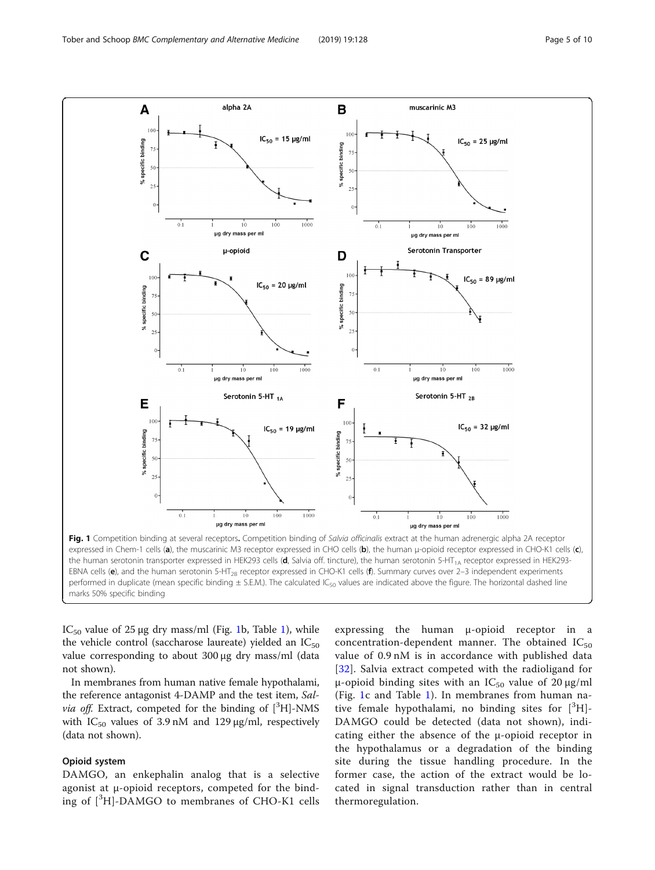<span id="page-4-0"></span>

IC<sub>50</sub> value of 25 μg dry mass/ml (Fig. [1](#page-5-0)b, Table 1), while the vehicle control (saccharose laureate) yielded an  $IC_{50}$ value corresponding to about 300 μg dry mass/ml (data not shown).

In membranes from human native female hypothalami, the reference antagonist 4-DAMP and the test item, Salvia off. Extract, competed for the binding of [<sup>3</sup>H]-NMS with  $IC_{50}$  values of 3.9 nM and 129  $\mu$ g/ml, respectively (data not shown).

### Opioid system

DAMGO, an enkephalin analog that is a selective agonist at μ-opioid receptors, competed for the binding of [<sup>3</sup>H]-DAMGO to membranes of CHO-K1 cells

expressing the human μ-opioid receptor in a concentration-dependent manner. The obtained  $IC_{50}$ value of 0.9 nM is in accordance with published data [[32](#page-9-0)]. Salvia extract competed with the radioligand for μ-opioid binding sites with an  $IC_{50}$  value of 20 μg/ml (Fig. 1c and Table [1\)](#page-5-0). In membranes from human native female hypothalami, no binding sites for  $[^3H]$ -DAMGO could be detected (data not shown), indicating either the absence of the μ-opioid receptor in the hypothalamus or a degradation of the binding site during the tissue handling procedure. In the former case, the action of the extract would be located in signal transduction rather than in central thermoregulation.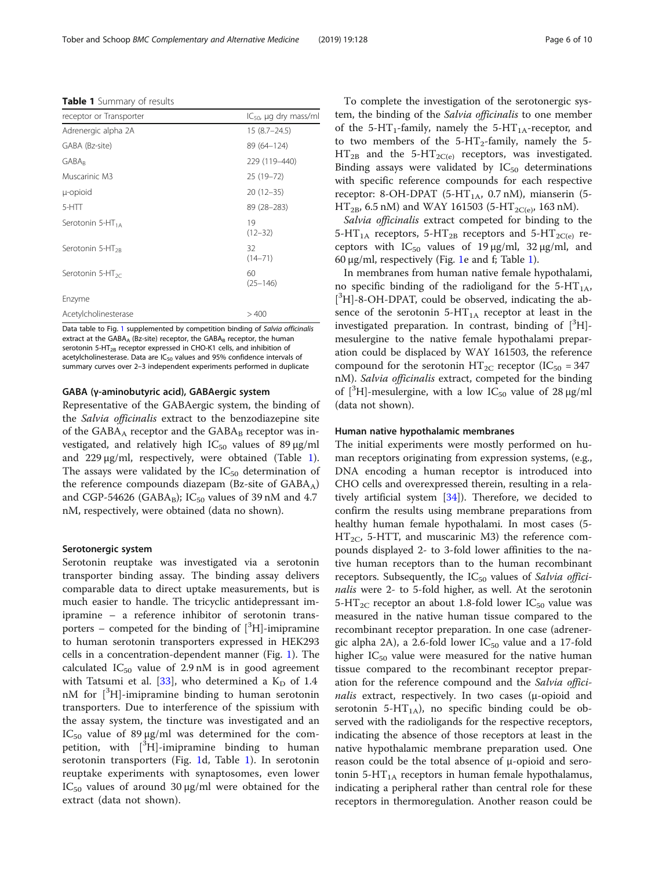Data table to Fig. [1](#page-4-0) supplemented by competition binding of Salvia officinalis extract at the GABA<sub>A</sub> (Bz-site) receptor, the GABA<sub>B</sub> receptor, the human serotonin 5-HT<sub>2B</sub> receptor expressed in CHO-K1 cells, and inhibition of acetylcholinesterase. Data are  $IC_{50}$  values and 95% confidence intervals of summary curves over 2–3 independent experiments performed in duplicate

### GABA (γ-aminobutyric acid), GABAergic system

Representative of the GABAergic system, the binding of the Salvia officinalis extract to the benzodiazepine site of the  $GABA_A$  receptor and the  $GABA_B$  receptor was investigated, and relatively high  $IC_{50}$  values of 89  $\mu$ g/ml and 229 μg/ml, respectively, were obtained (Table 1). The assays were validated by the  $IC_{50}$  determination of the reference compounds diazepam (Bz-site of  $GABA_A$ ) and CGP-54626 (GABA<sub>B</sub>); IC<sub>50</sub> values of 39 nM and 4.7 nM, respectively, were obtained (data no shown).

#### Serotonergic system

Serotonin reuptake was investigated via a serotonin transporter binding assay. The binding assay delivers comparable data to direct uptake measurements, but is much easier to handle. The tricyclic antidepressant imipramine – a reference inhibitor of serotonin transporters  $-$  competed for the binding of  $[{}^{3}H]$ -imipramine to human serotonin transporters expressed in HEK293 cells in a concentration-dependent manner (Fig. [1](#page-4-0)). The calculated  $IC_{50}$  value of 2.9 nM is in good agreement with Tatsumi et al. [\[33](#page-9-0)], who determined a  $K_D$  of 1.4 nM for [<sup>3</sup>H]-imipramine binding to human serotonin transporters. Due to interference of the spissium with the assay system, the tincture was investigated and an IC<sub>50</sub> value of 89 μg/ml was determined for the competition, with  $\left[\begin{smallmatrix} 3\1 \end{smallmatrix}\right]$ -imipramine binding to human serotonin transporters (Fig. [1d](#page-4-0), Table 1). In serotonin reuptake experiments with synaptosomes, even lower IC<sub>50</sub> values of around 30 μg/ml were obtained for the extract (data not shown).

To complete the investigation of the serotonergic system, the binding of the Salvia officinalis to one member of the 5-HT<sub>1</sub>-family, namely the 5-HT<sub>1A</sub>-receptor, and to two members of the  $5-HT<sub>2</sub>$ -family, namely the 5- $HT_{2B}$  and the 5-HT<sub>2C(e)</sub> receptors, was investigated. Binding assays were validated by  $IC_{50}$  determinations with specific reference compounds for each respective receptor: 8-OH-DPAT (5-HT<sub>1A</sub>, 0.7 nM), mianserin (5- $HT_{2B}$ , 6.5 nM) and WAY 161503 (5-HT<sub>2C(e)</sub>, 163 nM).

Salvia officinalis extract competed for binding to the 5-HT<sub>1A</sub> receptors, 5-HT<sub>2B</sub> receptors and 5-HT<sub>2C(e)</sub> receptors with  $IC_{50}$  values of 19 μg/ml, 32 μg/ml, and 60 μg/ml, respectively (Fig. [1e](#page-4-0) and f; Table 1).

In membranes from human native female hypothalami, no specific binding of the radioligand for the  $5-HT_{1A}$ , [ 3 H]-8-OH-DPAT, could be observed, indicating the absence of the serotonin  $5-HT_{1A}$  receptor at least in the investigated preparation. In contrast, binding of  $[^3H]$ mesulergine to the native female hypothalami preparation could be displaced by WAY 161503, the reference compound for the serotonin  $HT_{2C}$  receptor (IC<sub>50</sub> = 347 nM). Salvia officinalis extract, competed for the binding of  $[^3H]$ -mesulergine, with a low IC<sub>50</sub> value of 28 µg/ml (data not shown).

### Human native hypothalamic membranes

The initial experiments were mostly performed on human receptors originating from expression systems, (e.g., DNA encoding a human receptor is introduced into CHO cells and overexpressed therein, resulting in a relatively artificial system [[34\]](#page-9-0)). Therefore, we decided to confirm the results using membrane preparations from healthy human female hypothalami. In most cases (5-  $HT_{2C}$ , 5-HTT, and muscarinic M3) the reference compounds displayed 2- to 3-fold lower affinities to the native human receptors than to the human recombinant receptors. Subsequently, the  $IC_{50}$  values of Salvia officinalis were 2- to 5-fold higher, as well. At the serotonin 5-HT<sub>2C</sub> receptor an about 1.8-fold lower  $IC_{50}$  value was measured in the native human tissue compared to the recombinant receptor preparation. In one case (adrenergic alpha 2A), a 2.6-fold lower  $IC_{50}$  value and a 17-fold higher  $IC_{50}$  value were measured for the native human tissue compared to the recombinant receptor preparation for the reference compound and the Salvia officinalis extract, respectively. In two cases (μ-opioid and serotonin 5-HT<sub>1A</sub>), no specific binding could be observed with the radioligands for the respective receptors, indicating the absence of those receptors at least in the native hypothalamic membrane preparation used. One reason could be the total absence of μ-opioid and serotonin 5-HT<sub>1A</sub> receptors in human female hypothalamus, indicating a peripheral rather than central role for these receptors in thermoregulation. Another reason could be

<span id="page-5-0"></span>

| receptor or Transporter      | $IC_{50}$ , µg dry mass/ml |  |
|------------------------------|----------------------------|--|
| Adrenergic alpha 2A          | $15(8.7-24.5)$             |  |
| GABA (Bz-site)               | 89 (64 - 124)              |  |
| GABAR                        | 229 (119-440)              |  |
| Muscarinic M3                | 25 (19-72)                 |  |
| µ-opioid                     | $20(12-35)$                |  |
| 5-HTT                        | 89 (28 - 283)              |  |
| Serotonin $5-HT_{1A}$        | 19<br>$(12 - 32)$          |  |
| Serotonin 5-HT <sub>2R</sub> | 32<br>$(14 - 71)$          |  |
| Serotonin 5-HT <sub>2C</sub> | 60<br>$(25 - 146)$         |  |
| Enzyme                       |                            |  |
| Acetylcholinesterase         | >400                       |  |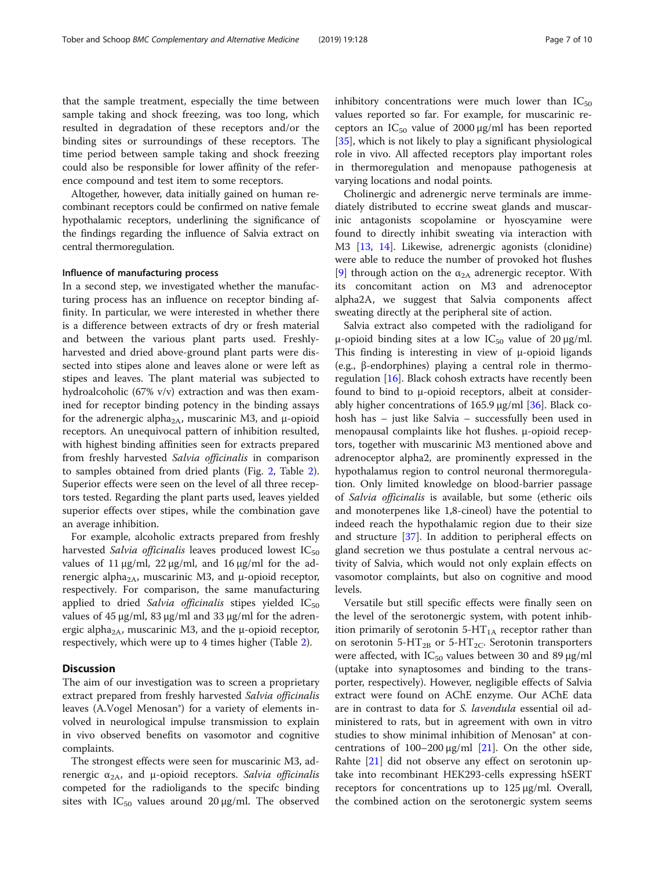that the sample treatment, especially the time between sample taking and shock freezing, was too long, which resulted in degradation of these receptors and/or the binding sites or surroundings of these receptors. The time period between sample taking and shock freezing could also be responsible for lower affinity of the reference compound and test item to some receptors.

Altogether, however, data initially gained on human recombinant receptors could be confirmed on native female hypothalamic receptors, underlining the significance of the findings regarding the influence of Salvia extract on central thermoregulation.

### Influence of manufacturing process

In a second step, we investigated whether the manufacturing process has an influence on receptor binding affinity. In particular, we were interested in whether there is a difference between extracts of dry or fresh material and between the various plant parts used. Freshlyharvested and dried above-ground plant parts were dissected into stipes alone and leaves alone or were left as stipes and leaves. The plant material was subjected to hydroalcoholic (67% v/v) extraction and was then examined for receptor binding potency in the binding assays for the adrenergic alpha<sub>2A</sub>, muscarinic M3, and  $\mu$ -opioid receptors. An unequivocal pattern of inhibition resulted, with highest binding affinities seen for extracts prepared from freshly harvested Salvia officinalis in comparison to samples obtained from dried plants (Fig. [2,](#page-7-0) Table [2](#page-7-0)). Superior effects were seen on the level of all three receptors tested. Regarding the plant parts used, leaves yielded superior effects over stipes, while the combination gave an average inhibition.

For example, alcoholic extracts prepared from freshly harvested Salvia officinalis leaves produced lowest  $IC_{50}$ values of 11 μg/ml,  $22 \mu g$ /ml, and  $16 \mu g$ /ml for the adrenergic alpha<sub>2A</sub>, muscarinic M3, and μ-opioid receptor, respectively. For comparison, the same manufacturing applied to dried Salvia officinalis stipes yielded  $IC_{50}$ values of 45 μg/ml, 83 μg/ml and 33 μg/ml for the adrenergic alpha<sub>2A</sub>, muscarinic M3, and the  $\mu$ -opioid receptor, respectively, which were up to 4 times higher (Table [2\)](#page-7-0).

### **Discussion**

The aim of our investigation was to screen a proprietary extract prepared from freshly harvested Salvia officinalis leaves (A.Vogel Menosan®) for a variety of elements involved in neurological impulse transmission to explain in vivo observed benefits on vasomotor and cognitive complaints.

The strongest effects were seen for muscarinic M3, adrenergic  $α<sub>2A</sub>$ , and μ-opioid receptors. Salvia officinalis competed for the radioligands to the specifc binding sites with  $IC_{50}$  values around 20  $\mu$ g/ml. The observed inhibitory concentrations were much lower than  $IC_{50}$ values reported so far. For example, for muscarinic receptors an  $IC_{50}$  value of 2000  $\mu$ g/ml has been reported [[35\]](#page-9-0), which is not likely to play a significant physiological role in vivo. All affected receptors play important roles in thermoregulation and menopause pathogenesis at varying locations and nodal points.

Cholinergic and adrenergic nerve terminals are immediately distributed to eccrine sweat glands and muscarinic antagonists scopolamine or hyoscyamine were found to directly inhibit sweating via interaction with M3 [\[13](#page-8-0), [14\]](#page-8-0). Likewise, adrenergic agonists (clonidine) were able to reduce the number of provoked hot flushes [[9\]](#page-8-0) through action on the  $\alpha_{2A}$  adrenergic receptor. With its concomitant action on M3 and adrenoceptor alpha2A, we suggest that Salvia components affect sweating directly at the peripheral site of action.

Salvia extract also competed with the radioligand for μ-opioid binding sites at a low IC<sub>50</sub> value of 20 μg/ml. This finding is interesting in view of μ-opioid ligands (e.g., β-endorphines) playing a central role in thermoregulation [\[16](#page-8-0)]. Black cohosh extracts have recently been found to bind to μ-opioid receptors, albeit at considerably higher concentrations of 165.9  $\mu$ g/ml [\[36\]](#page-9-0). Black cohosh has – just like Salvia – successfully been used in menopausal complaints like hot flushes. μ-opioid receptors, together with muscarinic M3 mentioned above and adrenoceptor alpha2, are prominently expressed in the hypothalamus region to control neuronal thermoregulation. Only limited knowledge on blood-barrier passage of Salvia officinalis is available, but some (etheric oils and monoterpenes like 1,8-cineol) have the potential to indeed reach the hypothalamic region due to their size and structure [[37](#page-9-0)]. In addition to peripheral effects on gland secretion we thus postulate a central nervous activity of Salvia, which would not only explain effects on vasomotor complaints, but also on cognitive and mood levels.

Versatile but still specific effects were finally seen on the level of the serotonergic system, with potent inhibition primarily of serotonin  $5-HT_{1A}$  receptor rather than on serotonin 5-HT<sub>2B</sub> or 5-HT<sub>2C</sub>. Serotonin transporters were affected, with  $IC_{50}$  values between 30 and 89  $\mu$ g/ml (uptake into synaptosomes and binding to the transporter, respectively). However, negligible effects of Salvia extract were found on AChE enzyme. Our AChE data are in contrast to data for S. lavendula essential oil administered to rats, but in agreement with own in vitro studies to show minimal inhibition of Menosan® at concentrations of  $100-200 \mu g/ml$  [[21\]](#page-9-0). On the other side, Rahte [\[21](#page-9-0)] did not observe any effect on serotonin uptake into recombinant HEK293-cells expressing hSERT receptors for concentrations up to 125 μg/ml. Overall, the combined action on the serotonergic system seems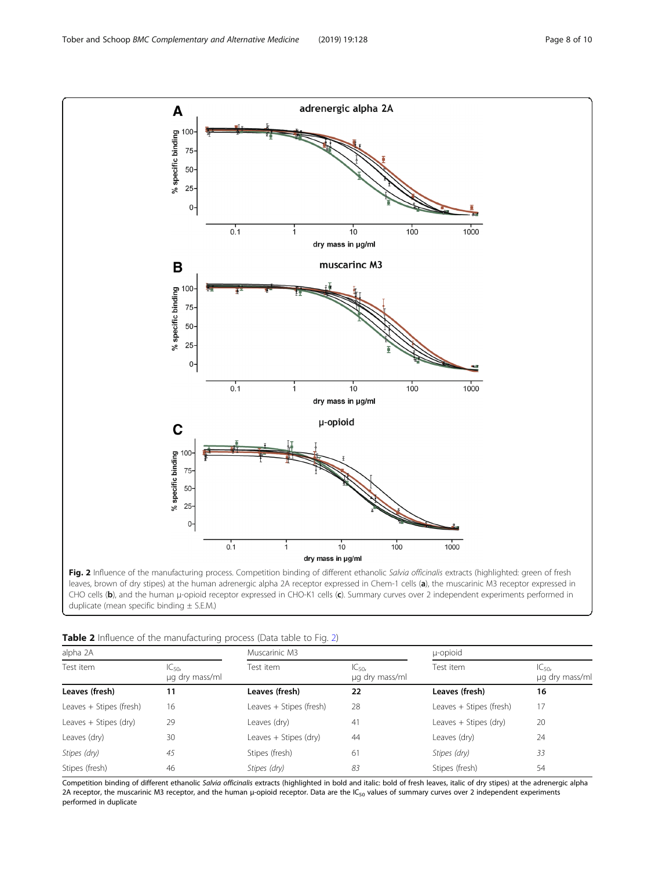<span id="page-7-0"></span>

duplicate (mean specific binding  $\pm$  S.E.M.)

| Table 2 Influence of the manufacturing process (Data table to Fig. 2) |  |
|-----------------------------------------------------------------------|--|
|-----------------------------------------------------------------------|--|

| alpha 2A                |                              | Muscarinic M3           |                             | u-opioid                |                             |
|-------------------------|------------------------------|-------------------------|-----------------------------|-------------------------|-----------------------------|
| Test item               | $IC_{50r}$<br>µg dry mass/ml | Test item               | $IC_{50}$<br>µg dry mass/ml | Test item               | $IC_{50}$<br>µg dry mass/ml |
| Leaves (fresh)          | 11                           | Leaves (fresh)          | 22                          | Leaves (fresh)          | 16                          |
| Leaves + Stipes (fresh) | 16                           | Leaves + Stipes (fresh) | 28                          | Leaves + Stipes (fresh) | 17                          |
| Leaves + Stipes (dry)   | 29                           | Leaves (dry)            | 41                          | Leaves + Stipes (dry)   | 20                          |
| Leaves (dry)            | 30                           | Leaves + Stipes (dry)   | 44                          | Leaves (dry)            | 24                          |
| Stipes (dry)            | 45                           | Stipes (fresh)          | 61                          | Stipes (dry)            | 33                          |
| Stipes (fresh)          | 46                           | Stipes (dry)            | 83                          | Stipes (fresh)          | 54                          |

Competition binding of different ethanolic Salvia officinalis extracts (highlighted in bold and italic: bold of fresh leaves, italic of dry stipes) at the adrenergic alpha 2A receptor, the muscarinic M3 receptor, and the human μ-opioid receptor. Data are the IC<sub>50</sub> values of summary curves over 2 independent experiments performed in duplicate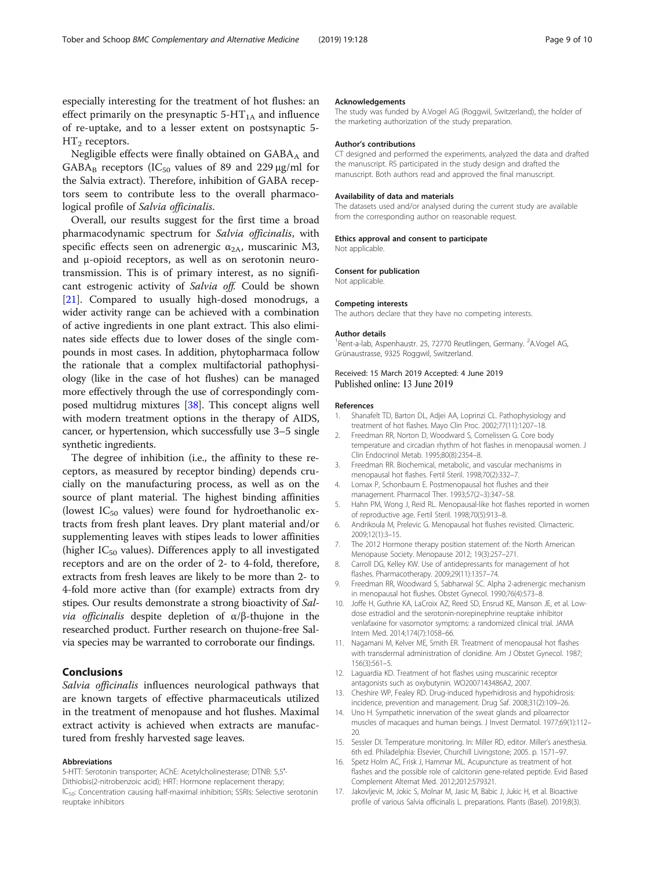<span id="page-8-0"></span>especially interesting for the treatment of hot flushes: an effect primarily on the presynaptic  $5-HT_{1A}$  and influence of re-uptake, and to a lesser extent on postsynaptic 5-  $HT_2$  receptors.

Negligible effects were finally obtained on  $GABA_A$  and  $GABA_B$  receptors (IC<sub>50</sub> values of 89 and 229 μg/ml for the Salvia extract). Therefore, inhibition of GABA receptors seem to contribute less to the overall pharmacological profile of Salvia officinalis.

Overall, our results suggest for the first time a broad pharmacodynamic spectrum for Salvia officinalis, with specific effects seen on adrenergic  $\alpha_{2A}$ , muscarinic M3, and μ-opioid receptors, as well as on serotonin neurotransmission. This is of primary interest, as no significant estrogenic activity of Salvia off. Could be shown [[21\]](#page-9-0). Compared to usually high-dosed monodrugs, a wider activity range can be achieved with a combination of active ingredients in one plant extract. This also eliminates side effects due to lower doses of the single compounds in most cases. In addition, phytopharmaca follow the rationale that a complex multifactorial pathophysiology (like in the case of hot flushes) can be managed more effectively through the use of correspondingly composed multidrug mixtures [[38](#page-9-0)]. This concept aligns well with modern treatment options in the therapy of AIDS, cancer, or hypertension, which successfully use 3–5 single synthetic ingredients.

The degree of inhibition (i.e., the affinity to these receptors, as measured by receptor binding) depends crucially on the manufacturing process, as well as on the source of plant material. The highest binding affinities (lowest  $IC_{50}$  values) were found for hydroethanolic extracts from fresh plant leaves. Dry plant material and/or supplementing leaves with stipes leads to lower affinities (higher  $IC_{50}$  values). Differences apply to all investigated receptors and are on the order of 2- to 4-fold, therefore, extracts from fresh leaves are likely to be more than 2- to 4-fold more active than (for example) extracts from dry stipes. Our results demonstrate a strong bioactivity of Sal*via officinalis* despite depletion of  $\alpha/\beta$ -thujone in the researched product. Further research on thujone-free Salvia species may be warranted to corroborate our findings.

### Conclusions

Salvia officinalis influences neurological pathways that are known targets of effective pharmaceuticals utilized in the treatment of menopause and hot flushes. Maximal extract activity is achieved when extracts are manufactured from freshly harvested sage leaves.

#### Abbreviations

5-HTT: Serotonin transporter; AChE: Acetylcholinesterase; DTNB: 5,5′- Dithiobis(2-nitrobenzoic acid); HRT: Hormone replacement therapy; IC<sub>50</sub>: Concentration causing half-maximal inhibition; SSRIs: Selective serotonin reuptake inhibitors

#### Acknowledgements

The study was funded by A.Vogel AG (Roggwil, Switzerland), the holder of the marketing authorization of the study preparation.

#### Author's contributions

CT designed and performed the experiments, analyzed the data and drafted the manuscript. RS participated in the study design and drafted the manuscript. Both authors read and approved the final manuscript.

#### Availability of data and materials

The datasets used and/or analysed during the current study are available from the corresponding author on reasonable request.

#### Ethics approval and consent to participate

Not applicable

#### Consent for publication

Not applicable.

#### Competing interests

The authors declare that they have no competing interests.

#### Author details

<sup>1</sup>Rent-a-lab, Aspenhaustr. 25, 72770 Reutlingen, Germany. <sup>2</sup>A.Vogel AG Grünaustrasse, 9325 Roggwil, Switzerland.

#### Received: 15 March 2019 Accepted: 4 June 2019 Published online: 13 June 2019

#### References

- 1. Shanafelt TD, Barton DL, Adjei AA, Loprinzi CL. Pathophysiology and treatment of hot flashes. Mayo Clin Proc. 2002;77(11):1207–18.
- 2. Freedman RR, Norton D, Woodward S, Cornelissen G. Core body temperature and circadian rhythm of hot flashes in menopausal women. J Clin Endocrinol Metab. 1995;80(8):2354–8.
- 3. Freedman RR. Biochemical, metabolic, and vascular mechanisms in menopausal hot flashes. Fertil Steril. 1998;70(2):332–7.
- 4. Lomax P, Schonbaum E. Postmenopausal hot flushes and their management. Pharmacol Ther. 1993;57(2–3):347–58.
- 5. Hahn PM, Wong J, Reid RL. Menopausal-like hot flashes reported in women of reproductive age. Fertil Steril. 1998;70(5):913–8.
- 6. Andrikoula M, Prelevic G. Menopausal hot flushes revisited. Climacteric. 2009;12(1):3–15.
- 7. The 2012 Hormone therapy position statement of: the North American Menopause Society. Menopause 2012; 19(3):257–271.
- 8. Carroll DG, Kelley KW. Use of antidepressants for management of hot flashes. Pharmacotherapy. 2009;29(11):1357–74.
- 9. Freedman RR, Woodward S, Sabharwal SC. Alpha 2-adrenergic mechanism in menopausal hot flushes. Obstet Gynecol. 1990;76(4):573–8.
- 10. Joffe H, Guthrie KA, LaCroix AZ, Reed SD, Ensrud KE, Manson JE, et al. Lowdose estradiol and the serotonin-norepinephrine reuptake inhibitor venlafaxine for vasomotor symptoms: a randomized clinical trial. JAMA Intern Med. 2014;174(7):1058–66.
- 11. Nagamani M, Kelver ME, Smith ER. Treatment of menopausal hot flashes with transdermal administration of clonidine. Am J Obstet Gynecol. 1987; 156(3):561–5.
- 12. Laguardia KD. Treatment of hot flashes using muscarinic receptor antagonists such as oxybutynin. WO2007143486A2, 2007.
- 13. Cheshire WP, Fealey RD. Drug-induced hyperhidrosis and hypohidrosis: incidence, prevention and management. Drug Saf. 2008;31(2):109–26.
- 14. Uno H. Sympathetic innervation of the sweat glands and piloarrector muscles of macaques and human beings. J Invest Dermatol. 1977;69(1):112– 20.
- 15. Sessler DI. Temperature monitoring. In: Miller RD, editor. Miller's anesthesia. 6th ed. Philadelphia: Elsevier, Churchill Livingstone; 2005. p. 1571–97.
- 16. Spetz Holm AC, Frisk J, Hammar ML. Acupuncture as treatment of hot flashes and the possible role of calcitonin gene-related peptide. Evid Based Complement Alternat Med. 2012;2012:579321.
- 17. Jakovljevic M, Jokic S, Molnar M, Jasic M, Babic J, Jukic H, et al. Bioactive profile of various Salvia officinalis L. preparations. Plants (Basel). 2019;8(3).